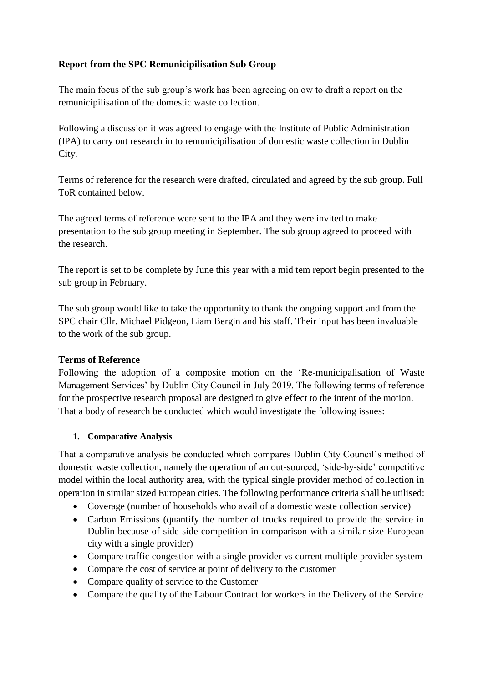## **Report from the SPC Remunicipilisation Sub Group**

The main focus of the sub group's work has been agreeing on ow to draft a report on the remunicipilisation of the domestic waste collection.

Following a discussion it was agreed to engage with the Institute of Public Administration (IPA) to carry out research in to remunicipilisation of domestic waste collection in Dublin City.

Terms of reference for the research were drafted, circulated and agreed by the sub group. Full ToR contained below.

The agreed terms of reference were sent to the IPA and they were invited to make presentation to the sub group meeting in September. The sub group agreed to proceed with the research.

The report is set to be complete by June this year with a mid tem report begin presented to the sub group in February.

The sub group would like to take the opportunity to thank the ongoing support and from the SPC chair Cllr. Michael Pidgeon, Liam Bergin and his staff. Their input has been invaluable to the work of the sub group.

## **Terms of Reference**

Following the adoption of a composite motion on the 'Re-municipalisation of Waste Management Services' by Dublin City Council in July 2019. The following terms of reference for the prospective research proposal are designed to give effect to the intent of the motion. That a body of research be conducted which would investigate the following issues:

## **1. Comparative Analysis**

That a comparative analysis be conducted which compares Dublin City Council's method of domestic waste collection, namely the operation of an out-sourced, 'side-by-side' competitive model within the local authority area, with the typical single provider method of collection in operation in similar sized European cities. The following performance criteria shall be utilised:

- Coverage (number of households who avail of a domestic waste collection service)
- Carbon Emissions (quantify the number of trucks required to provide the service in Dublin because of side-side competition in comparison with a similar size European city with a single provider)
- Compare traffic congestion with a single provider vs current multiple provider system
- Compare the cost of service at point of delivery to the customer
- Compare quality of service to the Customer
- Compare the quality of the Labour Contract for workers in the Delivery of the Service